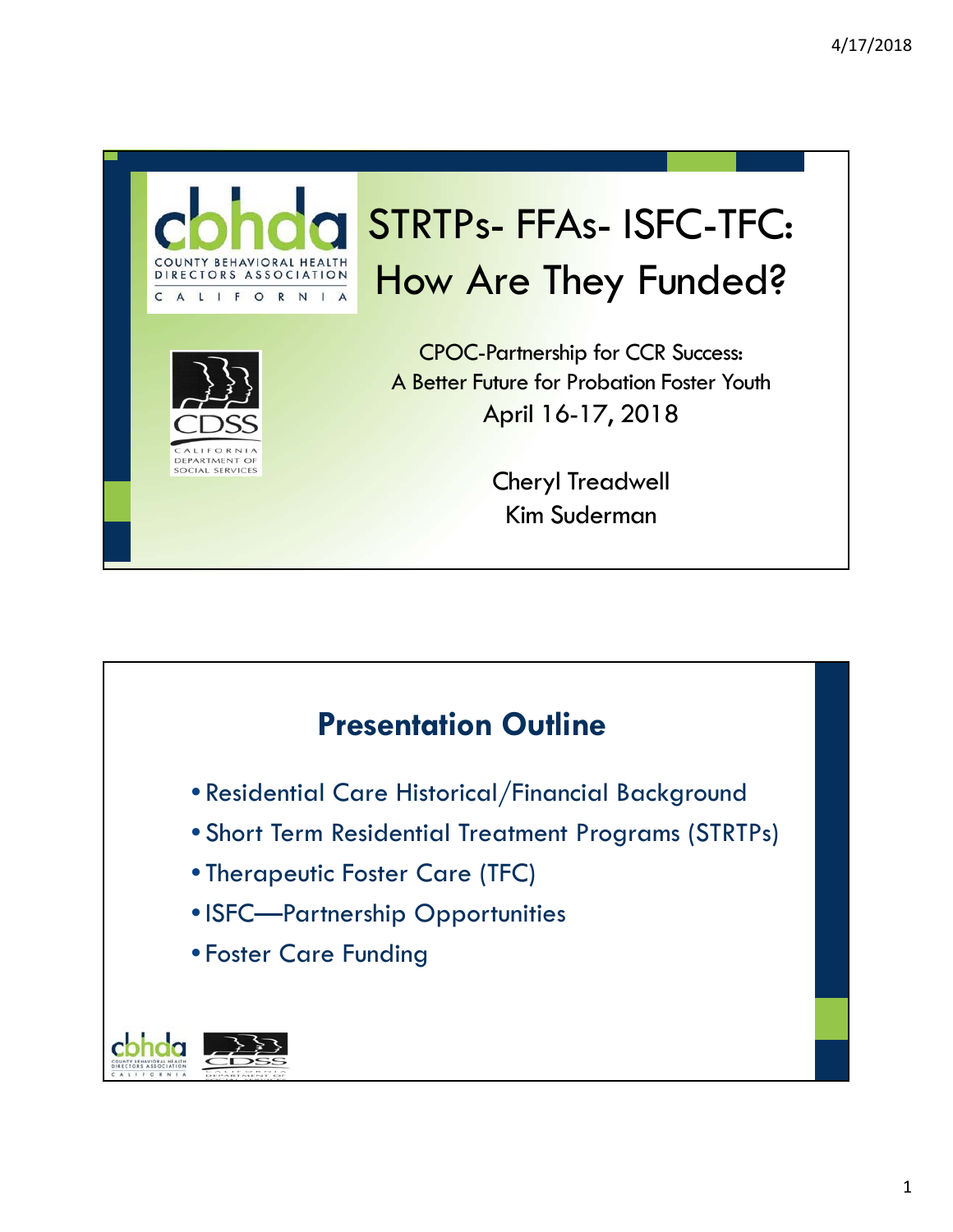

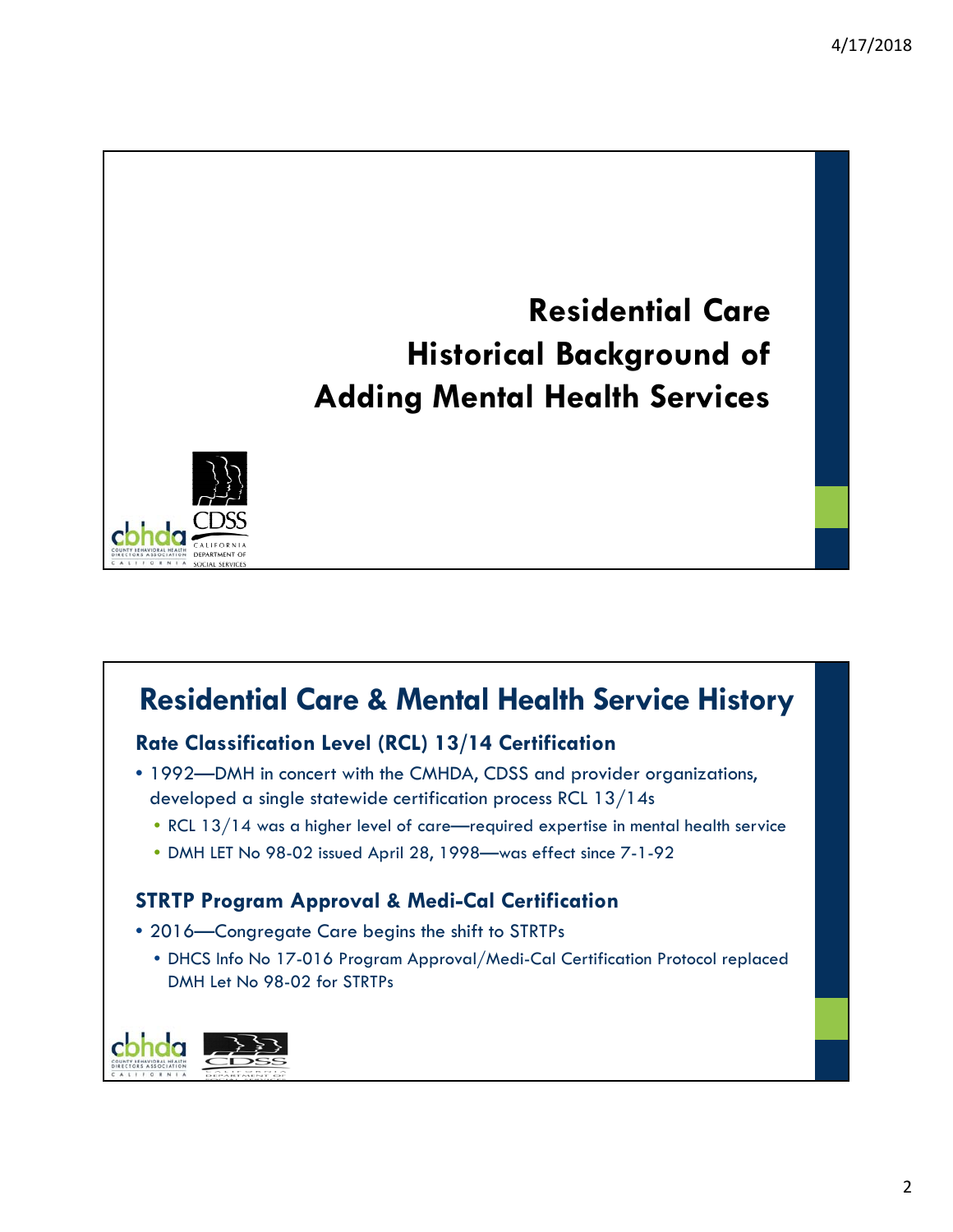## **Residential Care Historical Background of Adding Mental Health Services**



## **Residential Care & Mental Health Service History**

### **Rate Classification Level (RCL) 13/14 Certification**

- 1992—DMH in concert with the CMHDA, CDSS and provider organizations, developed a single statewide certification process RCL 13/14s
	- RCL 13/14 was a higher level of care—required expertise in mental health service
	- DMH LET No 98-02 issued April 28, 1998—was effect since 7-1-92

#### **STRTP Program Approval & Medi-Cal Certification**

- 2016—Congregate Care begins the shift to STRTPs
	- DHCS Info No 17-016 Program Approval/Medi-Cal Certification Protocol replaced DMH Let No 98-02 for STRTPs

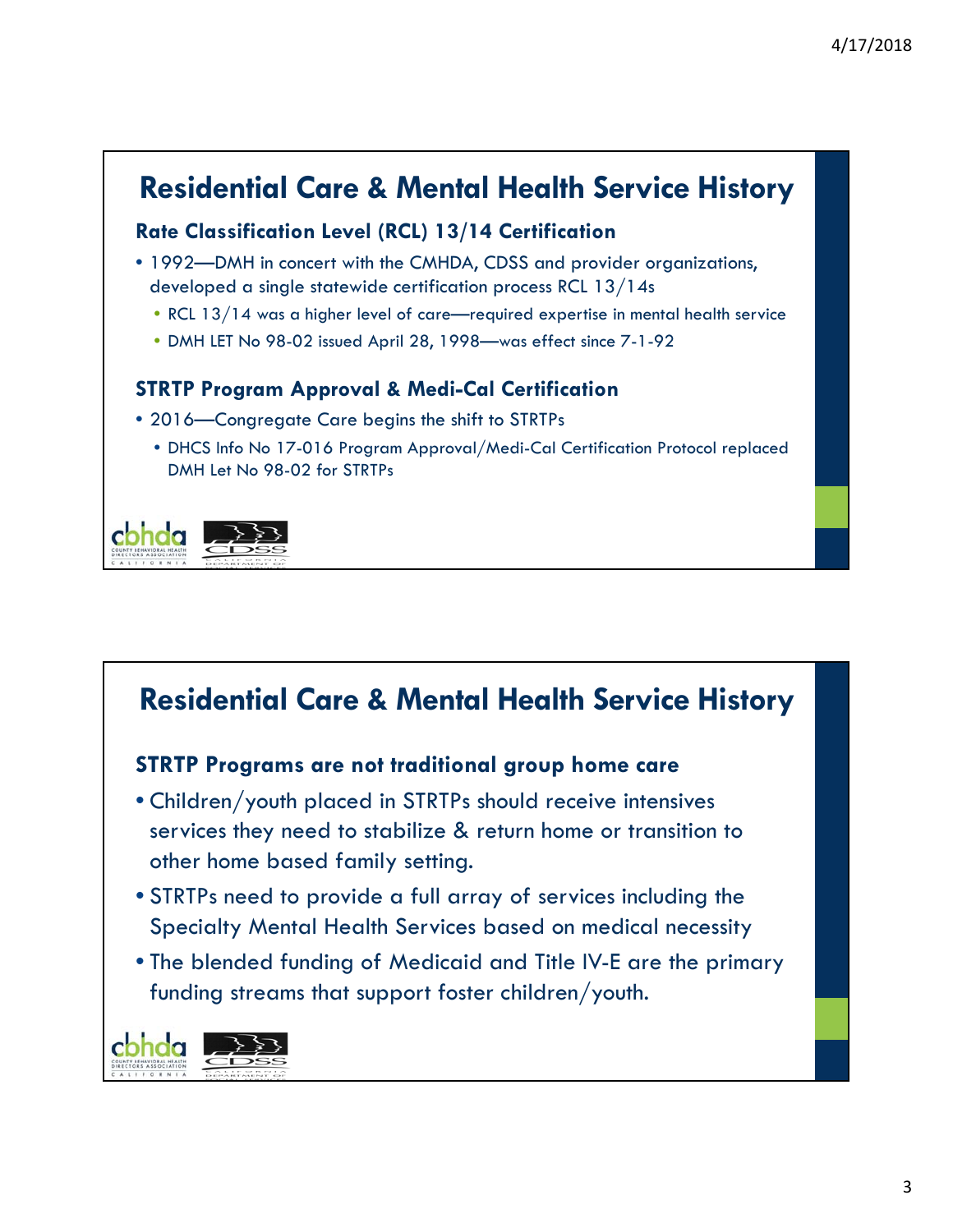## **Residential Care & Mental Health Service History**

### **Rate Classification Level (RCL) 13/14 Certification**

- 1992—DMH in concert with the CMHDA, CDSS and provider organizations, developed a single statewide certification process RCL 13/14s
	- RCL 13/14 was a higher level of care—required expertise in mental health service
	- DMH LET No 98-02 issued April 28, 1998—was effect since 7-1-92

### **STRTP Program Approval & Medi-Cal Certification**

- 2016—Congregate Care begins the shift to STRTPs
	- DHCS Info No 17-016 Program Approval/Medi-Cal Certification Protocol replaced DMH Let No 98-02 for STRTPs



## **Residential Care & Mental Health Service History**

### **STRTP Programs are not traditional group home care**

- Children/youth placed in STRTPs should receive intensives services they need to stabilize & return home or transition to other home based family setting.
- STRTPs need to provide a full array of services including the Specialty Mental Health Services based on medical necessity
- The blended funding of Medicaid and Title IV-E are the primary funding streams that support foster children/youth.

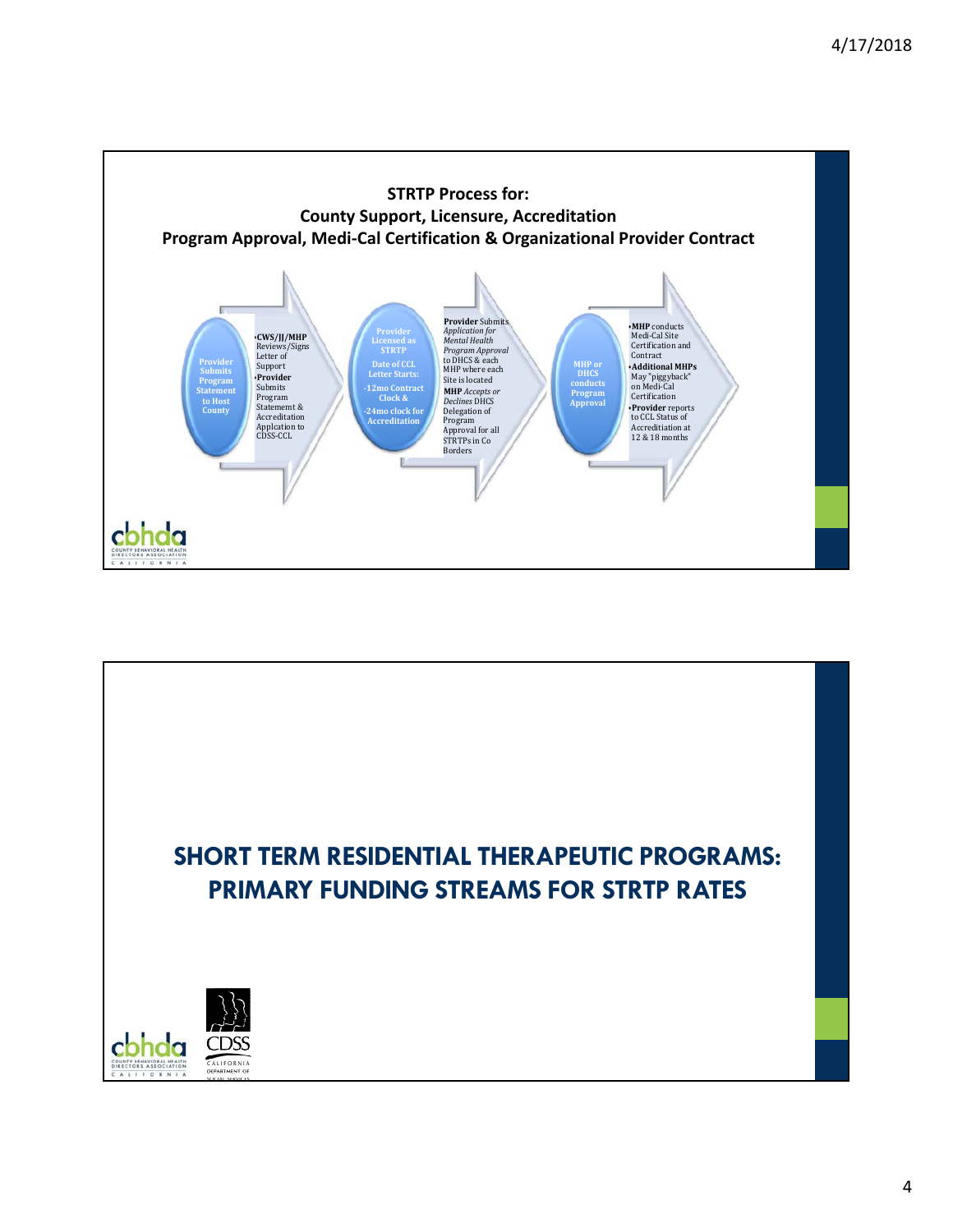

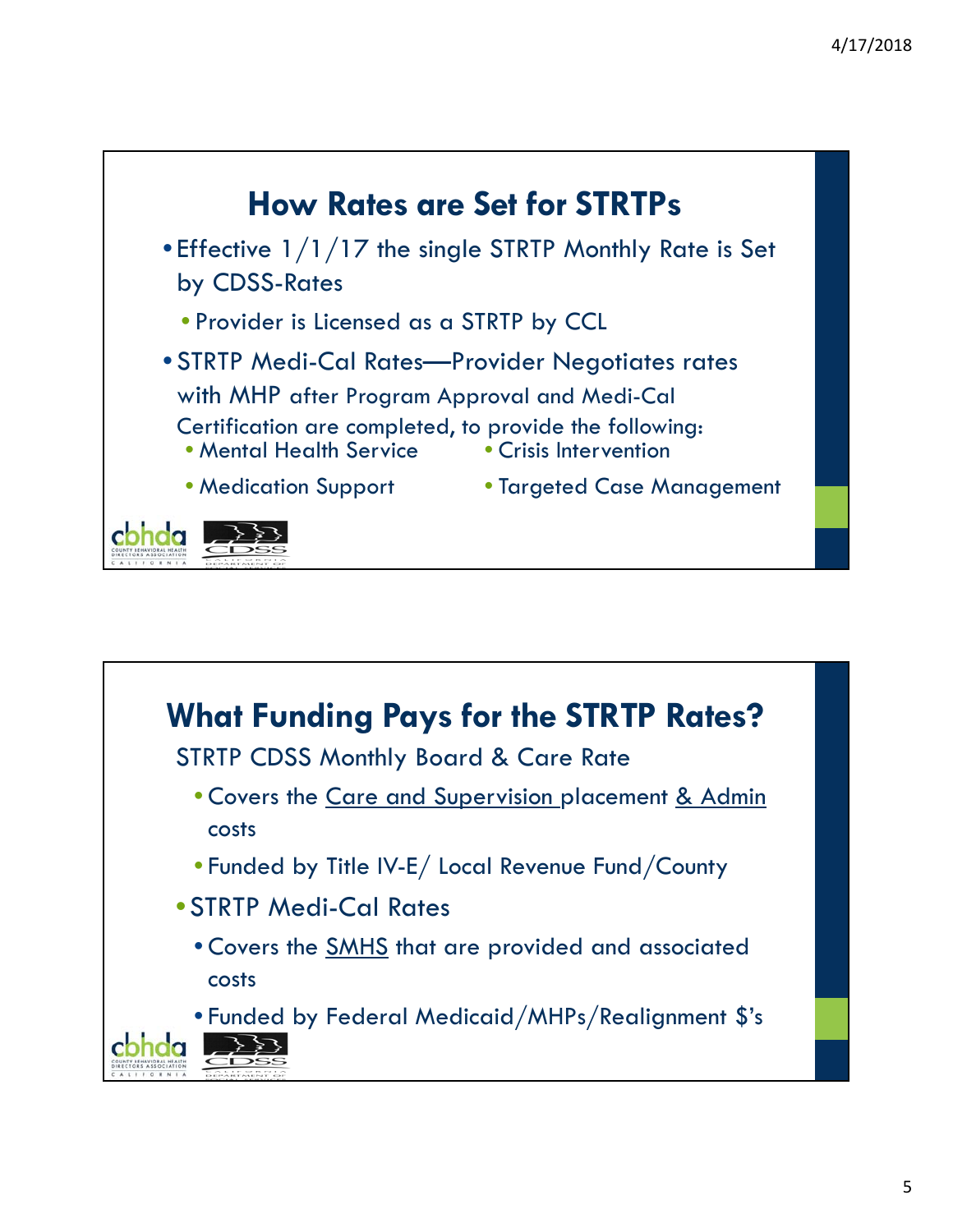

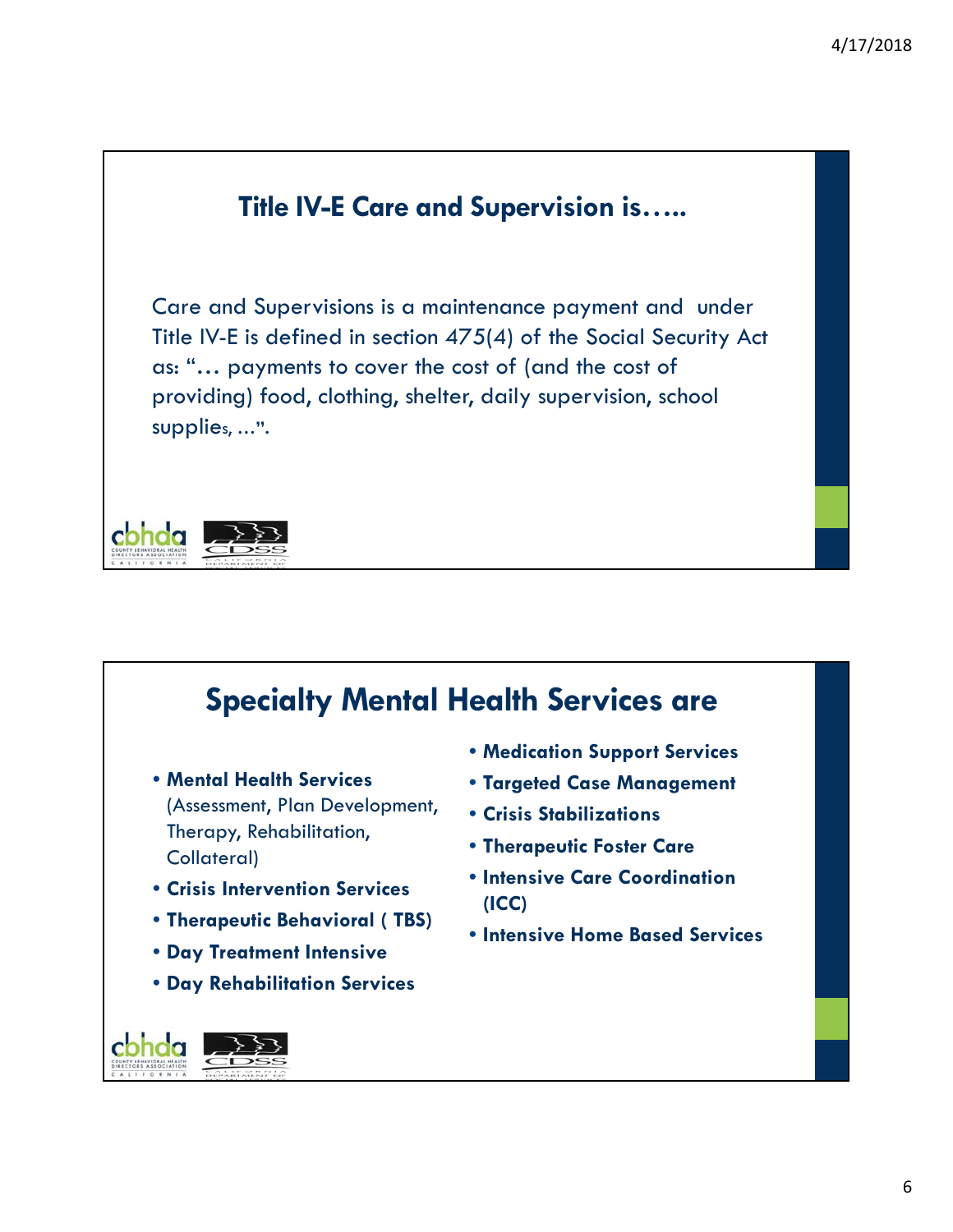# **Title IV-E Care and Supervision is…..** Care and Supervisions is a maintenance payment and under Title IV-E is defined in section 475(4) of the Social Security Act as: "… payments to cover the cost of (and the cost of providing) food, clothing, shelter, daily supervision, school supplies, **…".**  cbhda

### **Specialty Mental Health Services are** • **Medication Support Services** • **Mental Health Services**  • **Targeted Case Management** (Assessment, Plan Development, • **Crisis Stabilizations** Therapy, Rehabilitation, • **Therapeutic Foster Care** Collateral) • **Intensive Care Coordination**  • **Crisis Intervention Services (ICC)**  • **Therapeutic Behavioral ( TBS)** • **Intensive Home Based Services**• **Day Treatment Intensive** • **Day Rehabilitation Services** cbhda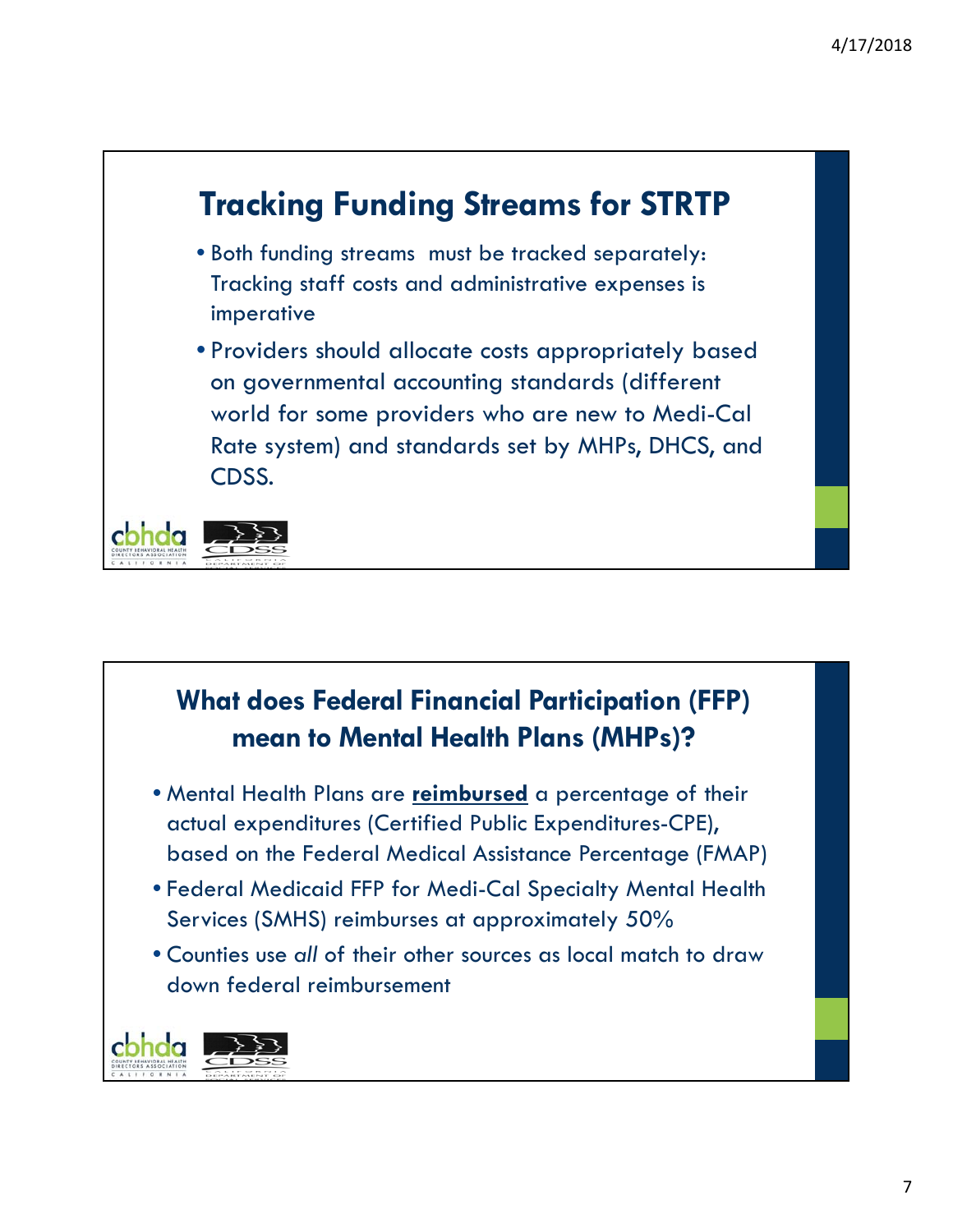# **Tracking Funding Streams for STRTP**

- Both funding streams must be tracked separately: Tracking staff costs and administrative expenses is imperative
- Providers should allocate costs appropriately based on governmental accounting standards (different world for some providers who are new to Medi-Cal Rate system) and standards set by MHPs, DHCS, and CDSS.



### **What does Federal Financial Participation (FFP) mean to Mental Health Plans (MHPs)?**

- Mental Health Plans are **reimbursed** a percentage of their actual expenditures (Certified Public Expenditures-CPE), based on the Federal Medical Assistance Percentage (FMAP)
- Federal Medicaid FFP for Medi-Cal Specialty Mental Health Services (SMHS) reimburses at approximately 50%
- Counties use *all* of their other sources as local match to draw down federal reimbursement

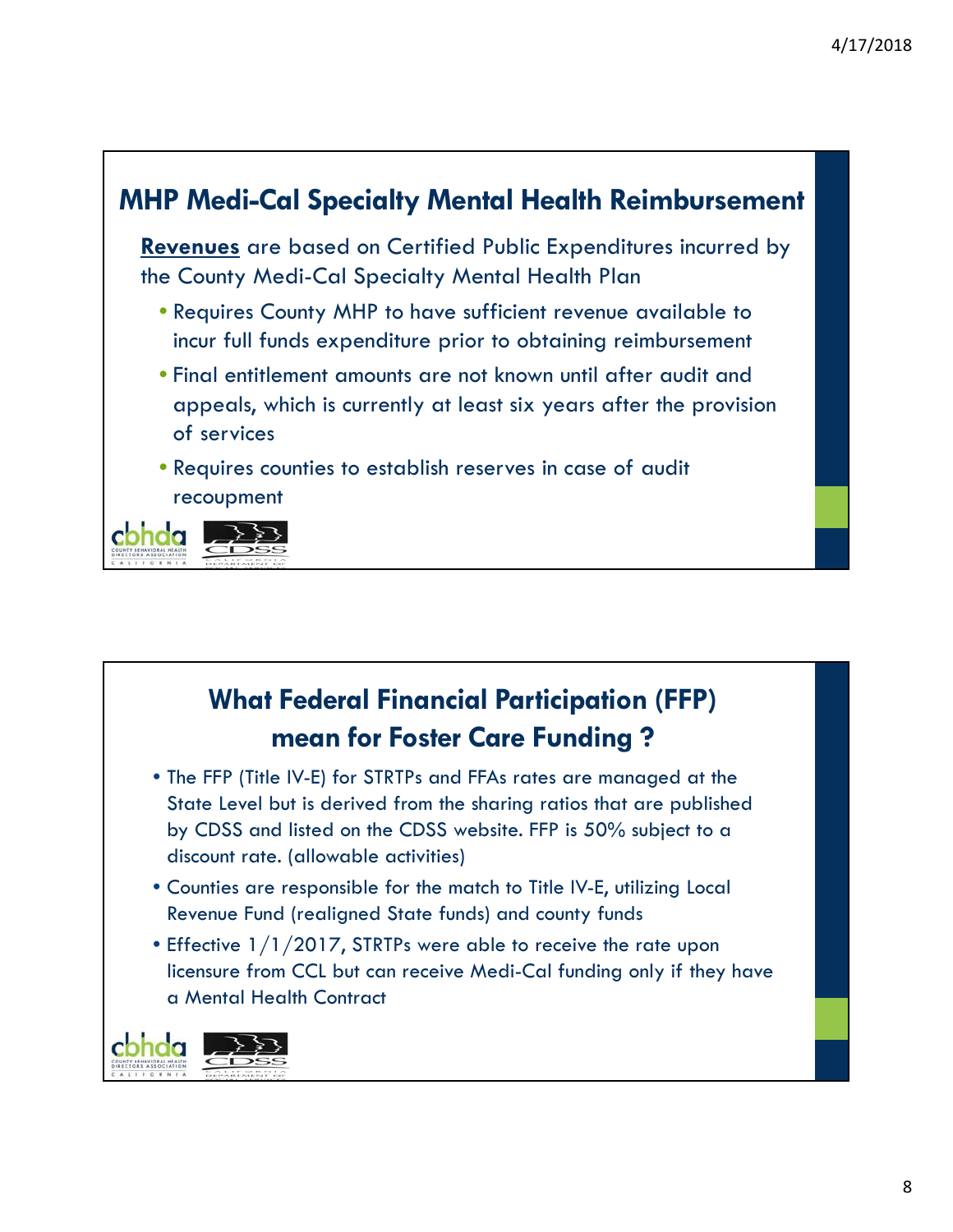

## **What Federal Financial Participation (FFP) mean for Foster Care Funding ?**

- The FFP (Title IV-E) for STRTPs and FFAs rates are managed at the State Level but is derived from the sharing ratios that are published by CDSS and listed on the CDSS website. FFP is 50% subject to a discount rate. (allowable activities)
- Counties are responsible for the match to Title IV-E, utilizing Local Revenue Fund (realigned State funds) and county funds
- Effective 1/1/2017, STRTPs were able to receive the rate upon licensure from CCL but can receive Medi-Cal funding only if they have a Mental Health Contract

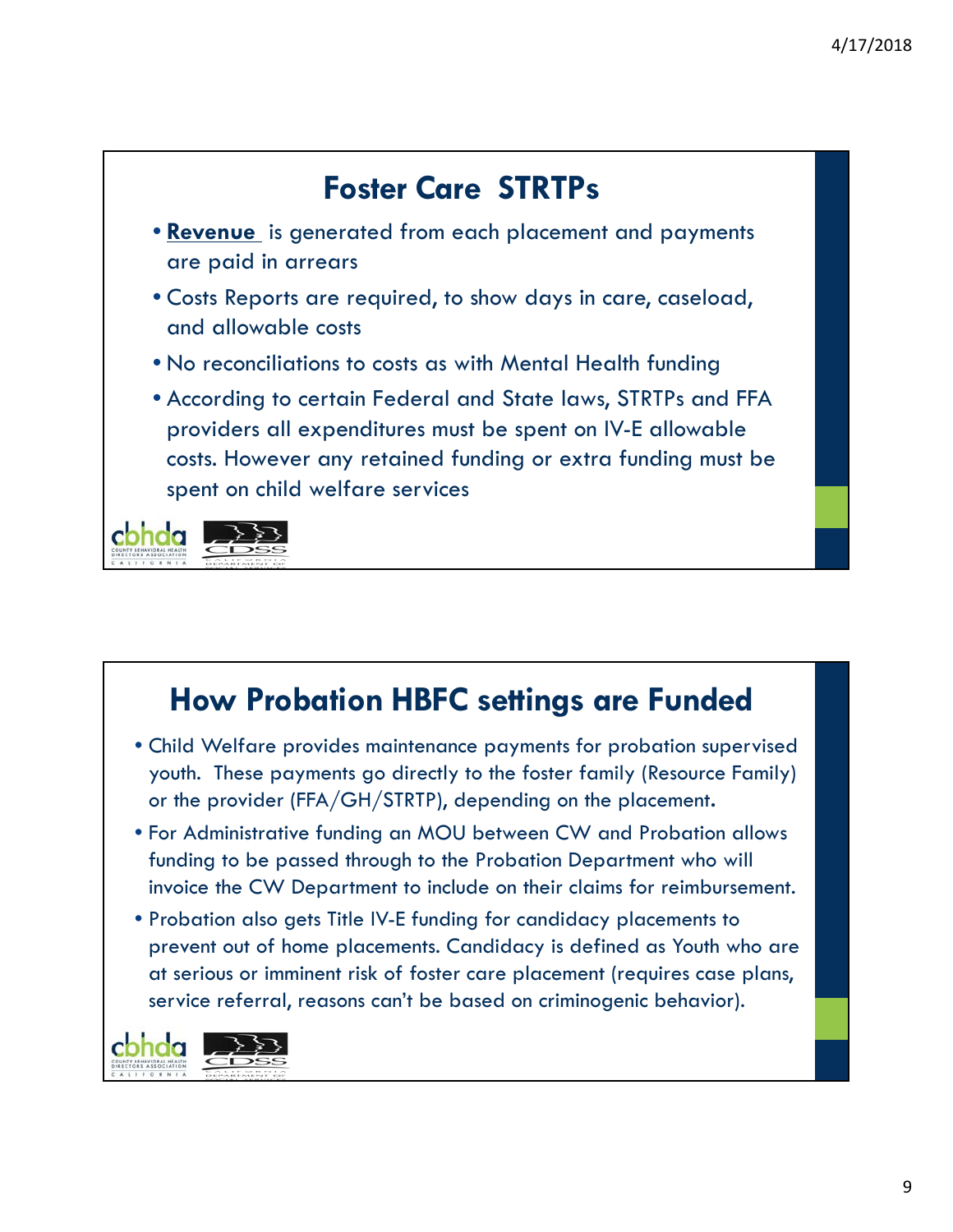

## **How Probation HBFC settings are Funded**

- Child Welfare provides maintenance payments for probation supervised youth. These payments go directly to the foster family (Resource Family) or the provider (FFA/GH/STRTP), depending on the placement**.**
- For Administrative funding an MOU between CW and Probation allows funding to be passed through to the Probation Department who will invoice the CW Department to include on their claims for reimbursement.
- Probation also gets Title IV-E funding for candidacy placements to prevent out of home placements. Candidacy is defined as Youth who are at serious or imminent risk of foster care placement (requires case plans, service referral, reasons can't be based on criminogenic behavior).

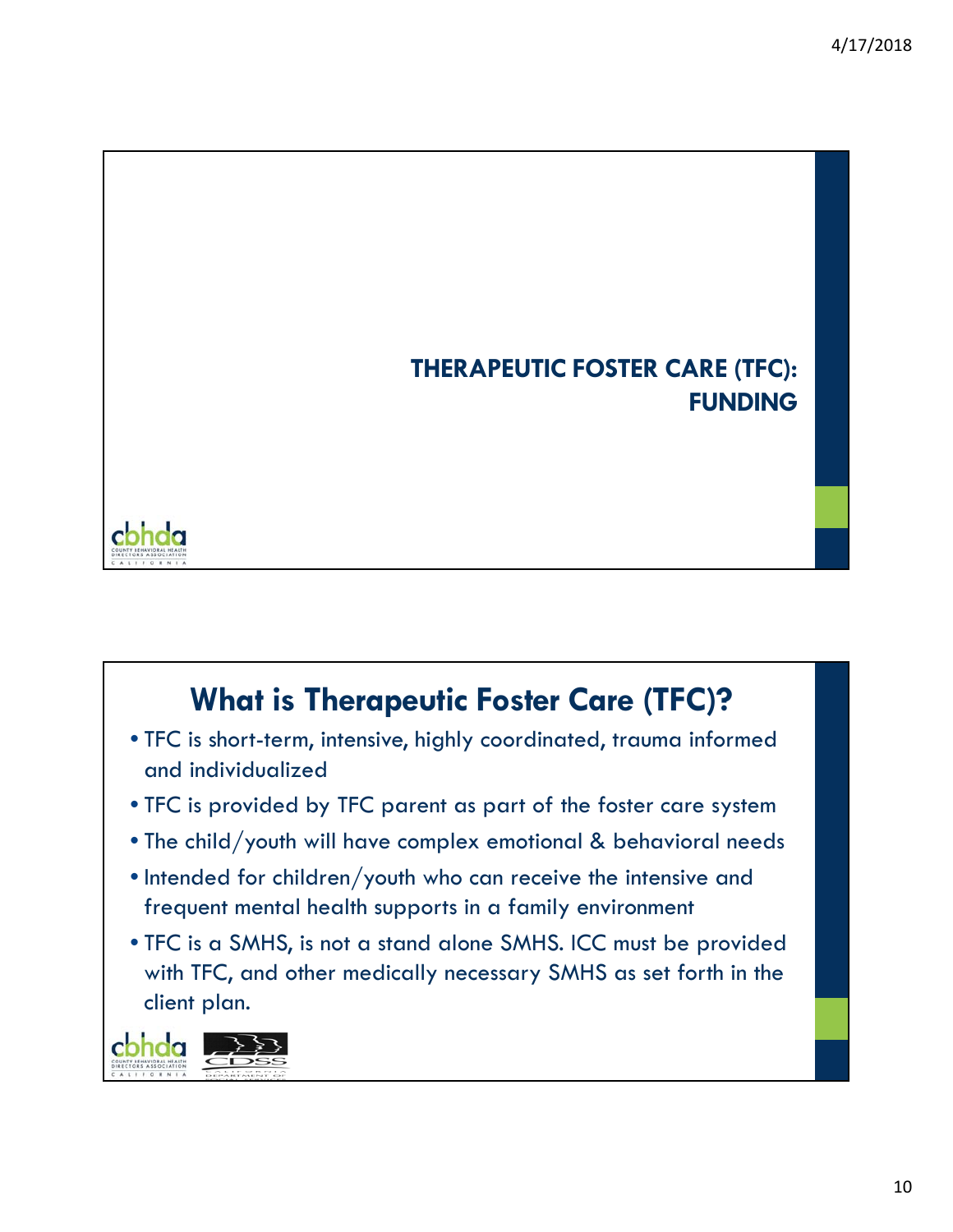## **THERAPEUTIC FOSTER CARE (TFC): FUNDING**



## **What is Therapeutic Foster Care (TFC)?**

- TFC is short-term, intensive, highly coordinated, trauma informed and individualized
- TFC is provided by TFC parent as part of the foster care system
- The child/youth will have complex emotional & behavioral needs
- Intended for children/youth who can receive the intensive and frequent mental health supports in a family environment
- TFC is a SMHS, is not a stand alone SMHS. ICC must be provided with TFC, and other medically necessary SMHS as set forth in the client plan.

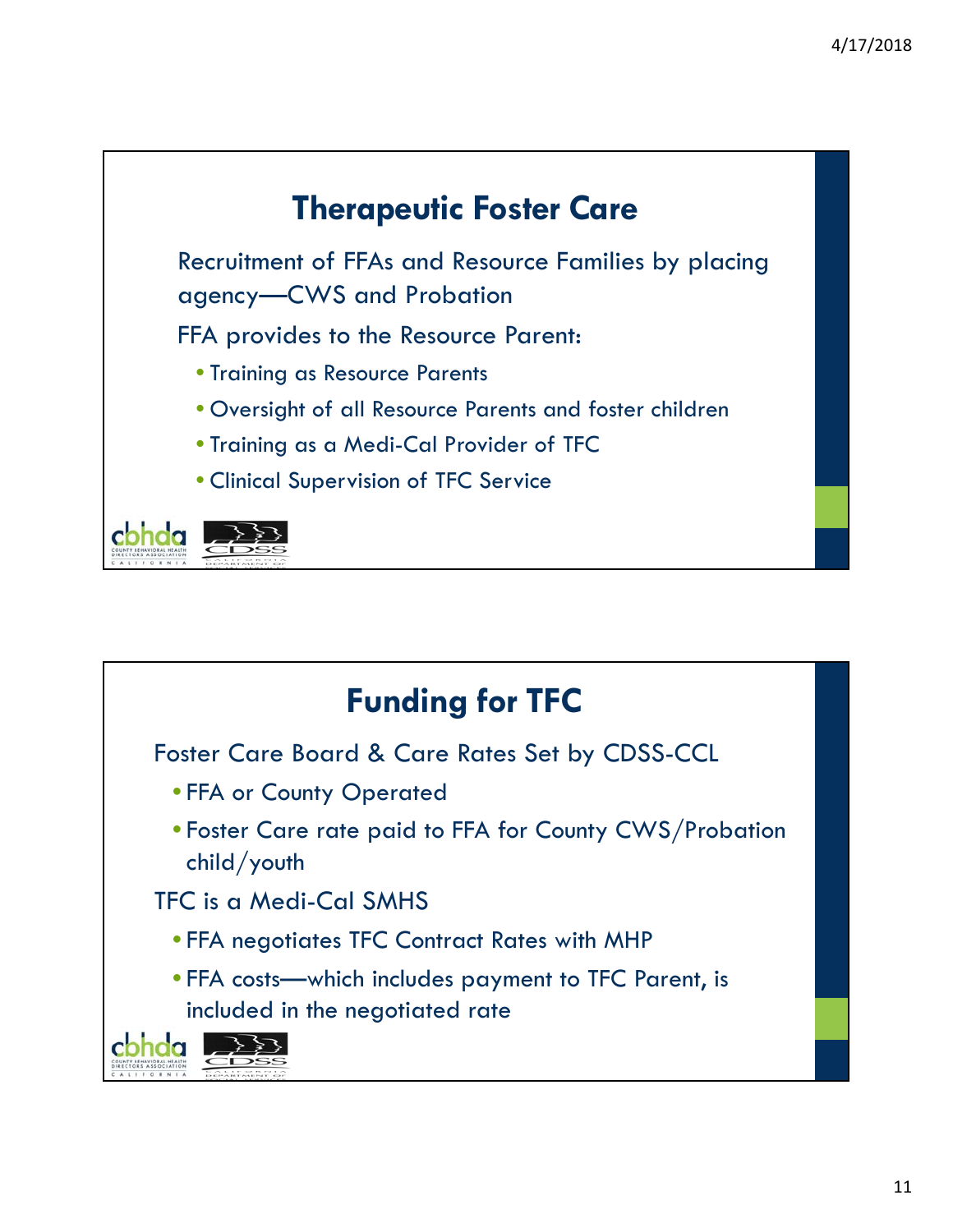

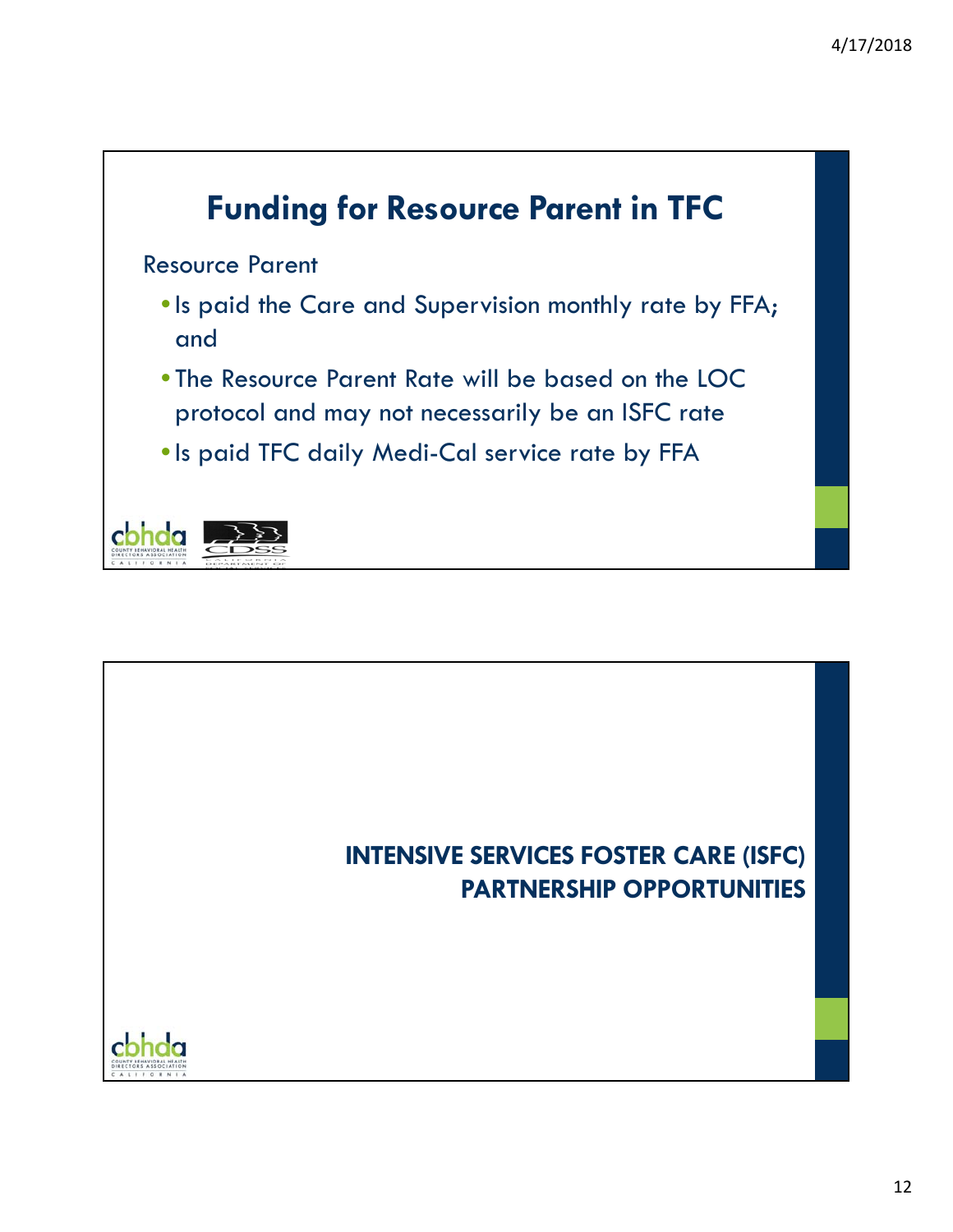

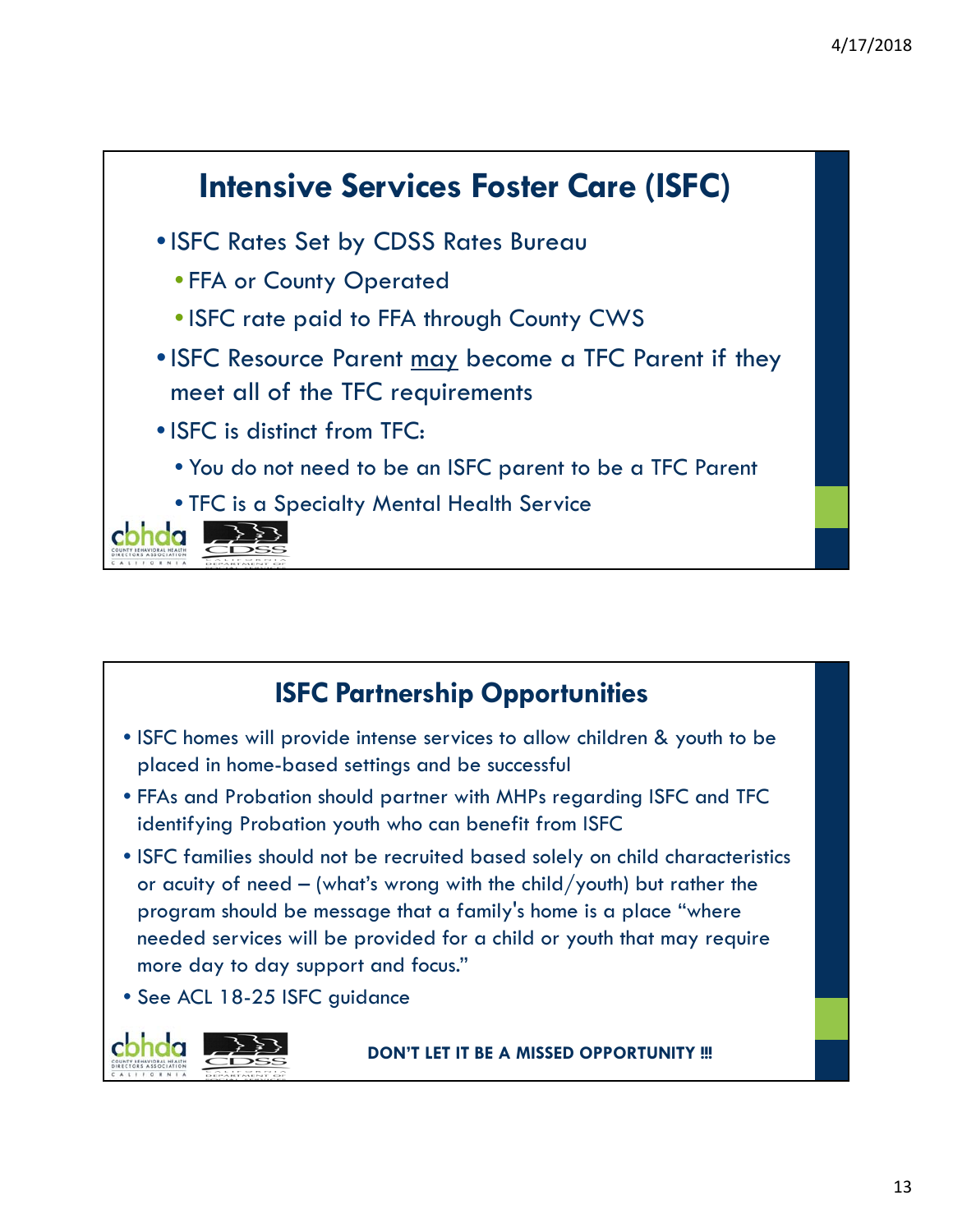

## **ISFC Partnership Opportunities**

- ISFC homes will provide intense services to allow children & youth to be placed in home-based settings and be successful
- FFAs and Probation should partner with MHPs regarding ISFC and TFC identifying Probation youth who can benefit from ISFC
- ISFC families should not be recruited based solely on child characteristics or acuity of need – (what's wrong with the child/youth) but rather the program should be message that a family's home is a place "where needed services will be provided for a child or youth that may require more day to day support and focus."
- See ACL 18-25 ISFC guidance



**DON'T LET IT BE A MISSED OPPORTUNITY !!!**